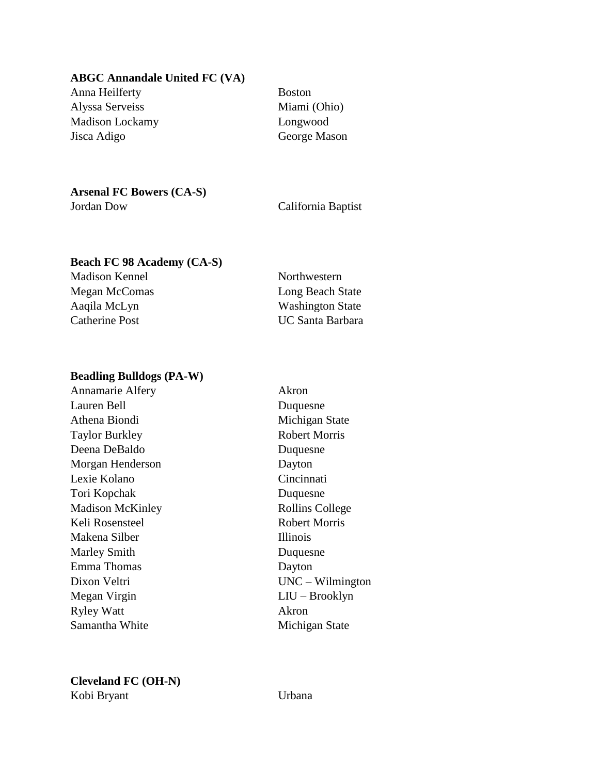#### **ABGC Annandale United FC (VA)**

Anna Heilferty Boston Alyssa Serveiss Miami (Ohio) Madison Lockamy Longwood Jisca Adigo George Mason

### **Arsenal FC Bowers (CA-S)**

Jordan Dow California Baptist

# **Beach FC 98 Academy (CA-S)**

Madison Kennel Northwestern

Megan McComas **Long Beach State** Aaqila McLyn Washington State Catherine Post UC Santa Barbara

#### **Beadling Bulldogs (PA-W)**

Annamarie Alfery Akron Lauren Bell Duquesne Athena Biondi Michigan State Taylor Burkley Robert Morris Deena DeBaldo Duquesne Morgan Henderson Dayton Lexie Kolano Cincinnati Tori Kopchak Duquesne Madison McKinley Rollins College Keli Rosensteel Robert Morris Makena Silber **Illinois** Marley Smith Duquesne Emma Thomas Dayton Dixon Veltri UNC – Wilmington Megan Virgin LIU – Brooklyn Ryley Watt Akron Samantha White Michigan State

**Cleveland FC (OH-N)** Kobi Bryant Urbana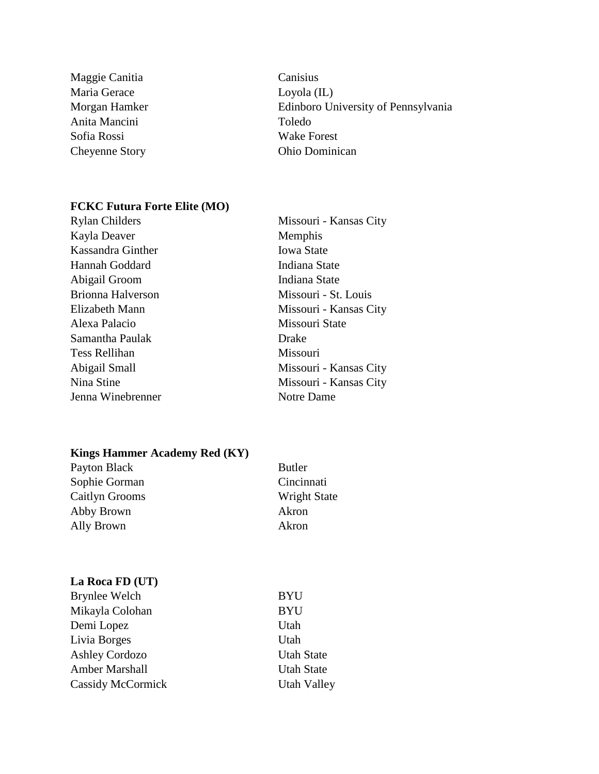- Maggie Canitia Canisius Maria Gerace Loyola (IL) Anita Mancini Toledo Sofia Rossi Wake Forest
- Morgan Hamker Edinboro University of Pennsylvania Cheyenne Story Ohio Dominican

#### **FCKC Futura Forte Elite (MO)**

| <b>Rylan Childers</b> | Missouri - Kansas City |
|-----------------------|------------------------|
| Kayla Deaver          | Memphis                |
| Kassandra Ginther     | <b>Iowa State</b>      |
| Hannah Goddard        | Indiana State          |
| Abigail Groom         | Indiana State          |
| Brionna Halverson     | Missouri - St. Louis   |
| Elizabeth Mann        | Missouri - Kansas City |
| Alexa Palacio         | Missouri State         |
| Samantha Paulak       | Drake                  |
| <b>Tess Rellihan</b>  | Missouri               |
| Abigail Small         | Missouri - Kansas City |
| Nina Stine            | Missouri - Kansas City |
| Jenna Winebrenner     | Notre Dame             |

# **Kings Hammer Academy Red (KY)**

| Payton Black   | <b>Butler</b>       |
|----------------|---------------------|
| Sophie Gorman  | Cincinnati          |
| Caitlyn Grooms | <b>Wright State</b> |
| Abby Brown     | Akron               |
| Ally Brown     | Akron               |

# **La Roca FD (UT)**

| <b>Brynlee Welch</b>  | <b>BYU</b>         |
|-----------------------|--------------------|
| Mikayla Colohan       | <b>BYU</b>         |
| Demi Lopez            | Utah               |
| Livia Borges          | Utah               |
| <b>Ashley Cordozo</b> | <b>Utah State</b>  |
| Amber Marshall        | <b>Utah State</b>  |
| Cassidy McCormick     | <b>Utah Valley</b> |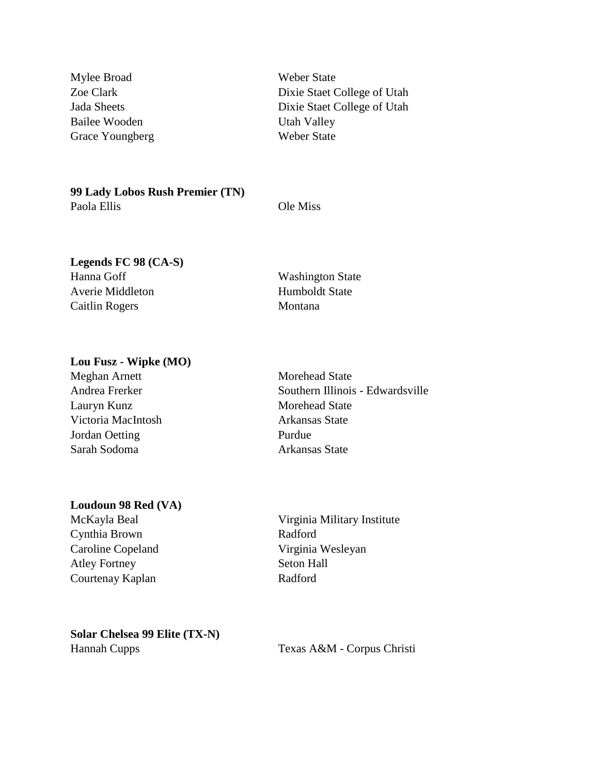Mylee Broad Weber State Bailee Wooden Utah Valley Grace Youngberg Weber State

Zoe Clark Dixie Staet College of Utah Jada Sheets Dixie Staet College of Utah

**99 Lady Lobos Rush Premier (TN)** Paola Ellis Ole Miss

# **Legends FC 98 (CA-S)**

Hanna Goff Washington State Averie Middleton Humboldt State Caitlin Rogers Montana

# **Lou Fusz - Wipke (MO)**

Meghan Arnett Morehead State Lauryn Kunz Morehead State Victoria MacIntosh Arkansas State Jordan Oetting Purdue Sarah Sodoma **Arkansas State** 

### **Loudoun 98 Red (VA)**

Cynthia Brown Radford Caroline Copeland Virginia Wesleyan Atley Fortney Seton Hall Courtenay Kaplan Radford

Andrea Frerker Southern Illinois - Edwardsville

McKayla Beal Virginia Military Institute

**Solar Chelsea 99 Elite (TX-N)** Hannah Cupps Texas A&M - Corpus Christi